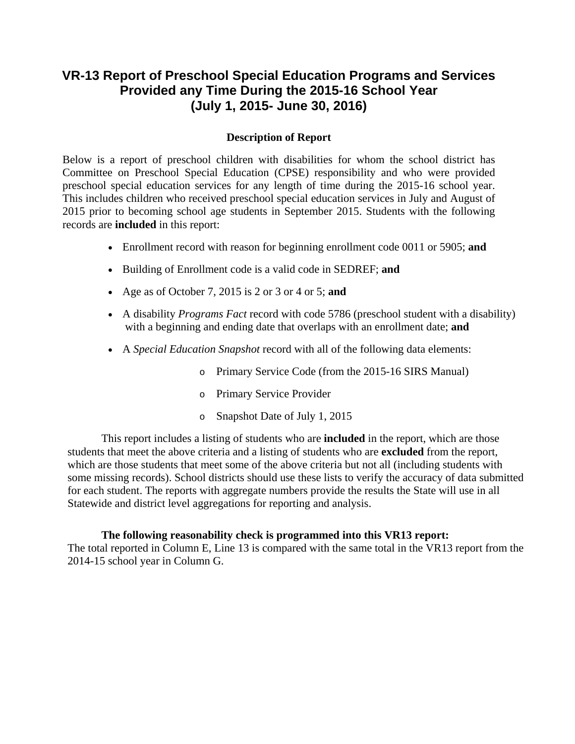## **VR-13 Report of Preschool Special Education Programs and Services Provided any Time During the 2015-16 School Year (July 1, 2015- June 30, 2016)**

## **Description of Report**

Below is a report of preschool children with disabilities for whom the school district has Committee on Preschool Special Education (CPSE) responsibility and who were provided preschool special education services for any length of time during the 2015-16 school year. This includes children who received preschool special education services in July and August of 2015 prior to becoming school age students in September 2015. Students with the following records are **included** in this report:

- Enrollment record with reason for beginning enrollment code 0011 or 5905; **and**
- Building of Enrollment code is a valid code in SEDREF; **and**
- Age as of October 7, 2015 is 2 or 3 or 4 or 5; **and**
- with a beginning and ending date that overlaps with an enrollment date; **and** A disability *Programs Fact* record with code 5786 (preschool student with a disability)
- A *Special Education Snapshot* record with all of the following data elements:
	- o Primary Service Code (from the 2015-16 SIRS Manual)
	- o Primary Service Provider
	- o Snapshot Date of July 1, 2015

This report includes a listing of students who are **included** in the report, which are those students that meet the above criteria and a listing of students who are **excluded** from the report, which are those students that meet some of the above criteria but not all (including students with some missing records). School districts should use these lists to verify the accuracy of data submitted for each student. The reports with aggregate numbers provide the results the State will use in all Statewide and district level aggregations for reporting and analysis.

## **The following reasonability check is programmed into this VR13 report:**

The total reported in Column E, Line 13 is compared with the same total in the VR13 report from the 2014-15 school year in Column G.